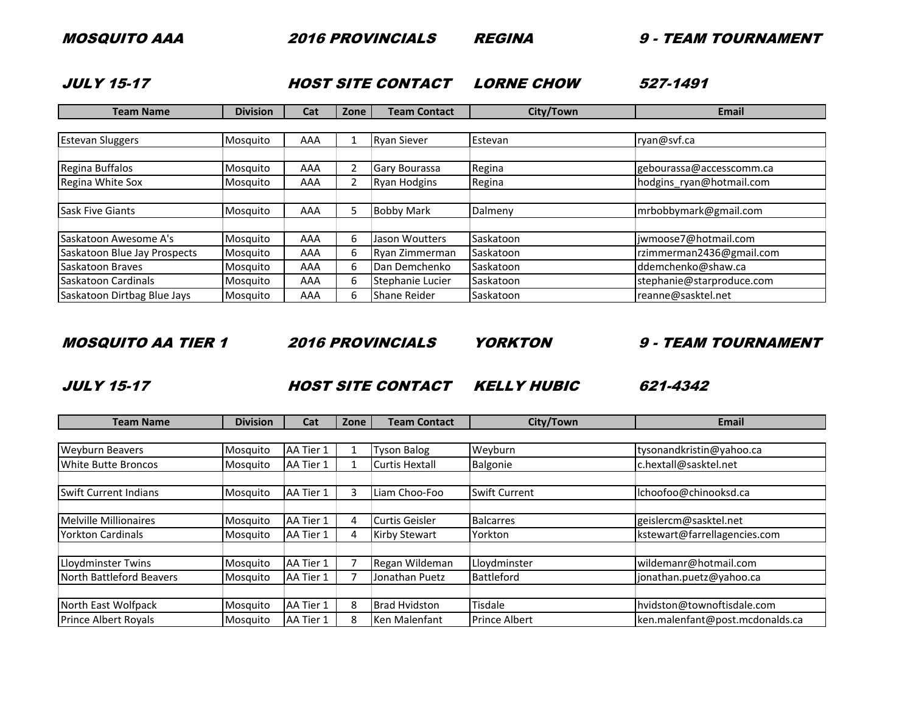2016 PROVINCIALS REGINA 9 - TEAM TOURNAMENT

JULY 15-17

LORNE CHOW 527-1491 HOST SITE CONTACT

| <b>Team Name</b>             | <b>Division</b> | Cat | Zone | <b>Team Contact</b>  | City/Town | Email                     |
|------------------------------|-----------------|-----|------|----------------------|-----------|---------------------------|
|                              |                 |     |      |                      |           |                           |
| <b>Estevan Sluggers</b>      | Mosquito        | AAA |      | <b>Ryan Siever</b>   | Estevan   | ryan@svf.ca               |
|                              |                 |     |      |                      |           |                           |
| Regina Buffalos              | Mosquito        | AAA |      | <b>Gary Bourassa</b> | Regina    | gebourassa@accesscomm.ca  |
| Regina White Sox             | Mosquito        | AAA |      | <b>Ryan Hodgins</b>  | Regina    | hodgins ryan@hotmail.com  |
|                              |                 |     |      |                      |           |                           |
| <b>Sask Five Giants</b>      | Mosquito        | AAA |      | <b>Bobby Mark</b>    | Dalmeny   | mrbobbymark@gmail.com     |
|                              |                 |     |      |                      |           |                           |
| Saskatoon Awesome A's        | Mosquito        | AAA | 6    | Jason Woutters       | Saskatoon | jwmoose7@hotmail.com      |
| Saskatoon Blue Jay Prospects | Mosquito        | AAA | 6    | Ryan Zimmerman       | Saskatoon | rzimmerman2436@gmail.com  |
| Saskatoon Braves             | Mosquito        | AAA | 6    | Dan Demchenko        | Saskatoon | ddemchenko@shaw.ca        |
| Saskatoon Cardinals          | Mosquito        | AAA | 6    | Stephanie Lucier     | Saskatoon | stephanie@starproduce.com |
| Saskatoon Dirtbag Blue Jays  | Mosquito        | AAA | 6.   | <b>Shane Reider</b>  | Saskatoon | reanne@sasktel.net        |

MOSQUITO AA TIER 1

2016 PROVINCIALS

YORKTON

9 - TEAM TOURNAMENT

JULY 15-17

TURE THE CONTACT SITE CONTACT SELLY HUBIC

621-4342

| <b>Team Name</b>                                   | <b>Division</b>      | Cat                    | Zone | <b>Team Contact</b>   | City/Town            | <b>Email</b>                                                  |
|----------------------------------------------------|----------------------|------------------------|------|-----------------------|----------------------|---------------------------------------------------------------|
|                                                    |                      |                        |      |                       |                      |                                                               |
| <b>Weyburn Beavers</b>                             | Mosquito             | AA Tier 1              |      | <b>Tyson Balog</b>    | Weyburn              | tysonandkristin@yahoo.ca                                      |
| White Butte Broncos                                | Mosquito             | AA Tier 1              |      | <b>Curtis Hextall</b> | Balgonie             | c.hextall@sasktel.net                                         |
| <b>Swift Current Indians</b>                       | Mosquito             | AA Tier 1              |      | Liam Choo-Foo         | <b>Swift Current</b> | lchoofoo@chinooksd.ca                                         |
| <b>Melville Millionaires</b>                       | Mosquito             | AA Tier 1              |      | Curtis Geisler        | <b>Balcarres</b>     | geislercm@sasktel.net                                         |
| <b>Yorkton Cardinals</b>                           | Mosquito             | AA Tier 1              |      | <b>Kirby Stewart</b>  | Yorkton              | kstewart@farrellagencies.com                                  |
| Lloydminster Twins                                 | Mosquito             | AA Tier 1              |      | Regan Wildeman        | Lloydminster         | wildemanr@hotmail.com                                         |
| North Battleford Beavers                           | Mosquito             | AA Tier 1              |      | Jonathan Puetz        | Battleford           | jonathan.puetz@yahoo.ca                                       |
|                                                    |                      |                        | 8    | <b>Brad Hvidston</b>  | Tisdale              |                                                               |
| North East Wolfpack<br><b>Prince Albert Royals</b> | Mosquito<br>Mosquito | AA Tier 1<br>AA Tier 1 |      | Ken Malenfant         | <b>Prince Albert</b> | hvidston@townoftisdale.com<br>ken.malenfant@post.mcdonalds.ca |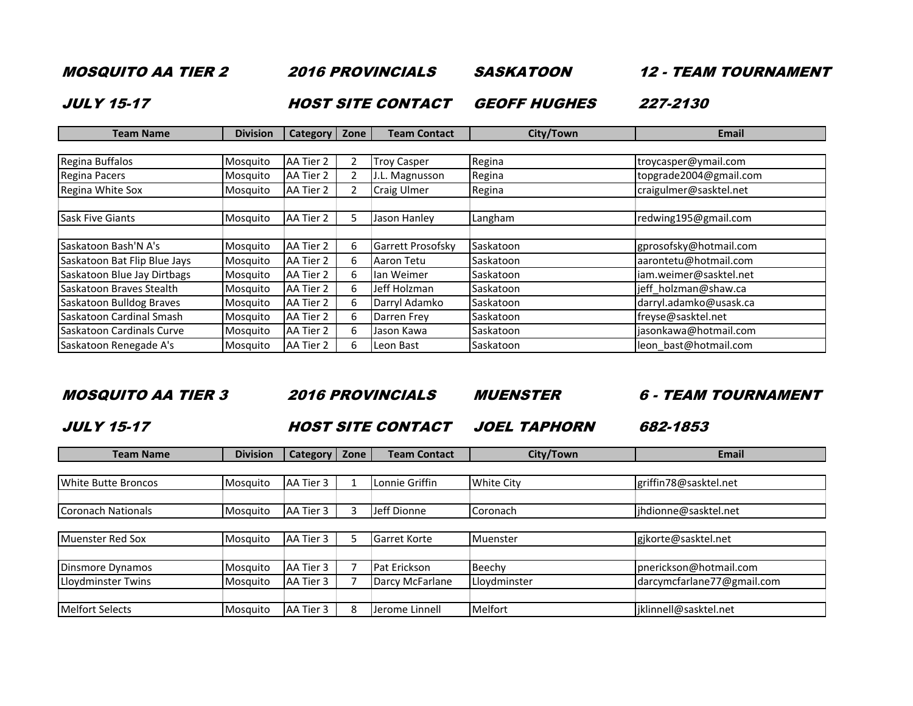MOSQUITO AA TIER 2

2016 PROVINCIALS

SASKATOON

12 - TEAM TOURNAMENT

JULY 15-17

TWEEP SITE CONTACT GEOFF HUGHES

227-2130

| <b>Team Name</b>             | <b>Division</b> | Category   Zone |    | <b>Team Contact</b>      | City/Town | Email                  |
|------------------------------|-----------------|-----------------|----|--------------------------|-----------|------------------------|
|                              |                 |                 |    |                          |           |                        |
| Regina Buffalos              | Mosquito        | AA Tier 2       |    | <b>Troy Casper</b>       | Regina    | troycasper@ymail.com   |
| Regina Pacers                | Mosquito        | AA Tier 2       |    | J.L. Magnusson           | Regina    | topgrade2004@gmail.com |
| Regina White Sox             | Mosquito        | AA Tier 2       |    | <b>Craig Ulmer</b>       | Regina    | craigulmer@sasktel.net |
|                              |                 |                 |    |                          |           |                        |
| <b>Sask Five Giants</b>      | Mosquito        | AA Tier 2       |    | Jason Hanley             | Langham   | redwing195@gmail.com   |
|                              |                 |                 |    |                          |           |                        |
| Saskatoon Bash'N A's         | Mosquito        | AA Tier 2       | 6. | <b>Garrett Prosofsky</b> | Saskatoon | gprosofsky@hotmail.com |
| Saskatoon Bat Flip Blue Jays | Mosquito        | AA Tier 2       | 6. | Aaron Tetu               | Saskatoon | aarontetu@hotmail.com  |
| Saskatoon Blue Jay Dirtbags  | Mosquito        | AA Tier 2       | 6  | lan Weimer               | Saskatoon | iam.weimer@sasktel.net |
| Saskatoon Braves Stealth     | Mosquito        | AA Tier 2       | 6  | Jeff Holzman             | Saskatoon | jeff holzman@shaw.ca   |
| Saskatoon Bulldog Braves     | Mosquito        | AA Tier 2       | 6  | Darryl Adamko            | Saskatoon | darryl.adamko@usask.ca |
| Saskatoon Cardinal Smash     | Mosquito        | AA Tier 2       | 6  | Darren Frey              | Saskatoon | freyse@sasktel.net     |
| Saskatoon Cardinals Curve    | Mosquito        | AA Tier 2       | 6  | Jason Kawa               | Saskatoon | jasonkawa@hotmail.com  |
| Saskatoon Renegade A's       | Mosquito        | AA Tier 2       | h  | Leon Bast                | Saskatoon | leon bast@hotmail.com  |

MOSQUITO AA TIER 3

2016 PROVINCIALS

MUENSTER

6 - TEAM TOURNAMENT

JULY 15-17

7 **HOST SITE CONTACT** JOEL TAPHORN

682-1853

| <b>Team Name</b>           | <b>Division</b> | <b>Category</b> | Zone | <b>Team Contact</b> | City/Town         | <b>Email</b>               |
|----------------------------|-----------------|-----------------|------|---------------------|-------------------|----------------------------|
|                            |                 |                 |      |                     |                   |                            |
| <b>White Butte Broncos</b> | Mosquito        | AA Tier 3       |      | Lonnie Griffin      | <b>White City</b> | griffin78@sasktel.net      |
|                            |                 |                 |      |                     |                   |                            |
| Coronach Nationals         | Mosquito        | AA Tier 3       |      | Jeff Dionne         | Coronach          | jhdionne@sasktel.net       |
|                            |                 |                 |      |                     |                   |                            |
| <b>Muenster Red Sox</b>    | Mosquito        | AA Tier 3       |      | <b>Garret Korte</b> | Muenster          | gjkorte@sasktel.net        |
|                            |                 |                 |      |                     |                   |                            |
| Dinsmore Dynamos           | Mosquito        | AA Tier 3       |      | Pat Erickson        | Beechy            | pnerickson@hotmail.com     |
| Lloydminster Twins         | Mosquito        | AA Tier 3       |      | Darcy McFarlane     | Lloydminster      | darcymcfarlane77@gmail.com |
|                            |                 |                 |      |                     |                   |                            |
| <b>Melfort Selects</b>     | Mosquito        | AA Tier 3       | 8    | Jerome Linnell      | Melfort           | jklinnell@sasktel.net      |